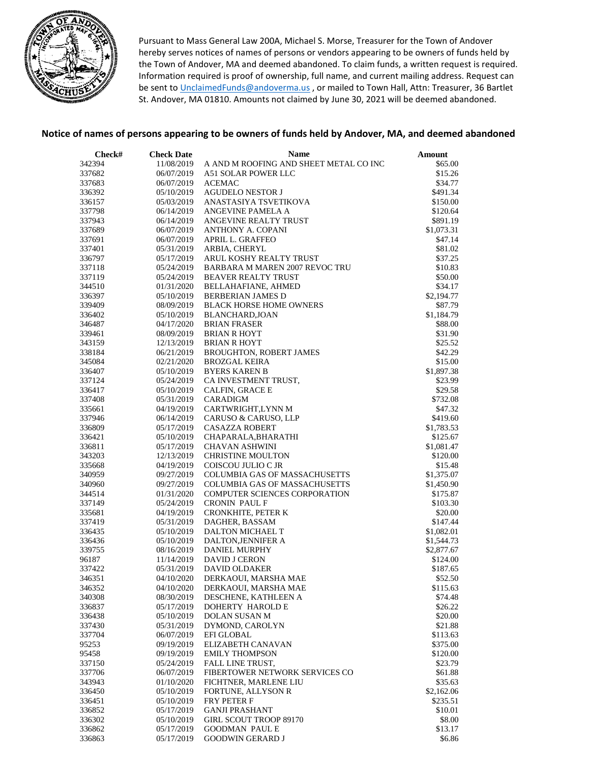

Pursuant to Mass General Law 200A, Michael S. Morse, Treasurer for the Town of Andover hereby serves notices of names of persons or vendors appearing to be owners of funds held by the Town of Andover, MA and deemed abandoned. To claim funds, a written request is required. Information required is proof of ownership, full name, and current mailing address. Request can be sent to [UnclaimedFunds@andoverma.us](mailto:UnclaimedFunds@andoverma.us), or mailed to Town Hall, Attn: Treasurer, 36 Bartlet St. Andover, MA 01810. Amounts not claimed by June 30, 2021 will be deemed abandoned.

## **Notice of names of persons appearing to be owners of funds held by Andover, MA, and deemed abandoned**

| Check#           | <b>Check Date</b>        | <b>Name</b>                            | Amount               |
|------------------|--------------------------|----------------------------------------|----------------------|
| 342394           | 11/08/2019               | A AND M ROOFING AND SHEET METAL CO INC | \$65.00              |
| 337682           | 06/07/2019               | A51 SOLAR POWER LLC                    | \$15.26              |
| 337683           | 06/07/2019               | <b>ACEMAC</b>                          | \$34.77              |
| 336392           | 05/10/2019               | AGUDELO NESTOR J                       | \$491.34             |
| 336157           | 05/03/2019               | ANASTASIYA TSVETIKOVA                  | \$150.00             |
| 337798           | 06/14/2019               | ANGEVINE PAMELA A                      | \$120.64             |
| 337943           | 06/14/2019               | ANGEVINE REALTY TRUST                  | \$891.19             |
| 337689           | 06/07/2019               | ANTHONY A. COPANI                      | \$1,073.31           |
| 337691           | 06/07/2019               | APRIL L. GRAFFEO                       | \$47.14              |
| 337401           | 05/31/2019               | ARBIA, CHERYL                          | \$81.02              |
| 336797           | 05/17/2019               | ARUL KOSHY REALTY TRUST                | \$37.25              |
| 337118           | 05/24/2019               | BARBARA M MAREN 2007 REVOC TRU         | \$10.83              |
| 337119           | 05/24/2019               | <b>BEAVER REALTY TRUST</b>             | \$50.00              |
| 344510           | 01/31/2020               | BELLAHAFIANE, AHMED                    | \$34.17              |
| 336397           | 05/10/2019               | <b>BERBERIAN JAMES D</b>               | \$2,194.77           |
| 339409           | 08/09/2019               | <b>BLACK HORSE HOME OWNERS</b>         | \$87.79              |
| 336402           | 05/10/2019               | <b>BLANCHARD, JOAN</b>                 | \$1,184.79           |
| 346487           | 04/17/2020               | <b>BRIAN FRASER</b>                    | \$88.00              |
| 339461           | 08/09/2019               | <b>BRIAN R HOYT</b>                    | \$31.90              |
| 343159           | 12/13/2019               | <b>BRIAN R HOYT</b>                    | \$25.52              |
| 338184           | 06/21/2019               | <b>BROUGHTON, ROBERT JAMES</b>         | \$42.29              |
| 345084           | 02/21/2020               | <b>BROZGAL KEIRA</b>                   | \$15.00              |
| 336407           | 05/10/2019               | <b>BYERS KAREN B</b>                   | \$1,897.38           |
| 337124           | 05/24/2019               | CA INVESTMENT TRUST,                   | \$23.99              |
| 336417           | 05/10/2019               | CALFIN, GRACE E                        | \$29.58              |
| 337408           | 05/31/2019               | CARADIGM                               | \$732.08             |
| 335661           | 04/19/2019               | CARTWRIGHT, LYNN M                     | \$47.32              |
| 337946           | 06/14/2019               | CARUSO & CARUSO, LLP                   | \$419.60             |
| 336809           | 05/17/2019               | <b>CASAZZA ROBERT</b>                  | \$1,783.53           |
| 336421           | 05/10/2019               | CHAPARALA, BHARATHI                    | \$125.67             |
| 336811           | 05/17/2019               | <b>CHAVAN ASHWINI</b>                  | \$1,081.47           |
| 343203           | 12/13/2019               | <b>CHRISTINE MOULTON</b>               | \$120.00             |
| 335668           | 04/19/2019               | COISCOU JULIO C JR                     | \$15.48              |
| 340959           | 09/27/2019               | <b>COLUMBIA GAS OF MASSACHUSETTS</b>   | \$1,375.07           |
| 340960           | 09/27/2019               | <b>COLUMBIA GAS OF MASSACHUSETTS</b>   | \$1,450.90           |
| 344514<br>337149 | 01/31/2020<br>05/24/2019 | COMPUTER SCIENCES CORPORATION          | \$175.87<br>\$103.30 |
| 335681           | 04/19/2019               | CRONIN PAUL F<br>CRONKHITE, PETER K    | \$20.00              |
| 337419           | 05/31/2019               | DAGHER, BASSAM                         | \$147.44             |
| 336435           | 05/10/2019               | DALTON MICHAEL T                       | \$1,082.01           |
| 336436           | 05/10/2019               | DALTON, JENNIFER A                     | \$1,544.73           |
| 339755           | 08/16/2019               | DANIEL MURPHY                          | \$2,877.67           |
| 96187            | 11/14/2019               | <b>DAVID J CERON</b>                   | \$124.00             |
| 337422           | 05/31/2019               | <b>DAVID OLDAKER</b>                   | \$187.65             |
| 346351           | 04/10/2020               | DERKAOUI, MARSHA MAE                   | \$52.50              |
| 346352           | 04/10/2020               | DERKAOUI, MARSHA MAE                   | \$115.63             |
| 340308           | 08/30/2019               | DESCHENE, KATHLEEN A                   | \$74.48              |
| 336837           | 05/17/2019               | DOHERTY HAROLD E                       | \$26.22              |
| 336438           | 05/10/2019               | <b>DOLAN SUSAN M</b>                   | \$20.00              |
| 337430           | 05/31/2019               | DYMOND, CAROLYN                        | \$21.88              |
| 337704           | 06/07/2019               | <b>EFI GLOBAL</b>                      | \$113.63             |
| 95253            | 09/19/2019               | ELIZABETH CANAVAN                      | \$375.00             |
| 95458            | 09/19/2019               | <b>EMILY THOMPSON</b>                  | \$120.00             |
| 337150           | 05/24/2019               | FALL LINE TRUST,                       | \$23.79              |
| 337706           | 06/07/2019               | FIBERTOWER NETWORK SERVICES CO         | \$61.88              |
| 343943           | 01/10/2020               | FICHTNER, MARLENE LIU                  | \$35.63              |
| 336450           | 05/10/2019               | FORTUNE, ALLYSON R                     | \$2,162.06           |
| 336451           | 05/10/2019               | FRY PETER F                            | \$235.51             |
| 336852           | 05/17/2019               | <b>GANJI PRASHANT</b>                  | \$10.01              |
| 336302           | 05/10/2019               | GIRL SCOUT TROOP 89170                 | \$8.00               |
| 336862           | 05/17/2019               | <b>GOODMAN PAUL E</b>                  | \$13.17              |
| 336863           | 05/17/2019               | <b>GOODWIN GERARD J</b>                | \$6.86               |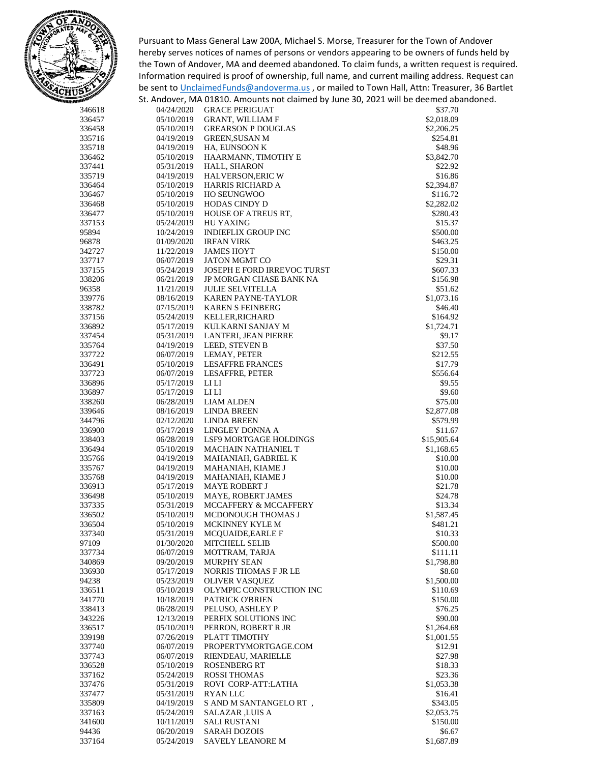

Pursuant to Mass General Law 200A, Michael S. Morse, Treasurer for the Town of Andover hereby serves notices of names of persons or vendors appearing to be owners of funds held by the Town of Andover, MA and deemed abandoned. To claim funds, a written request is required. Information required is proof of ownership, full name, and current mailing address. Request can be sent to [UnclaimedFunds@andoverma.us](mailto:UnclaimedFunds@andoverma.us), or mailed to Town Hall, Attn: Treasurer, 36 Bartlet St. Andover, MA 01810. Amounts not claimed by June 30, 2021 will be deemed abandoned.

| 346618 | 04/24/2020 | <b>GRACE PERIGUAT</b>       | \$37.70     |
|--------|------------|-----------------------------|-------------|
| 336457 | 05/10/2019 | <b>GRANT, WILLIAM F</b>     | \$2,018.09  |
| 336458 | 05/10/2019 | <b>GREARSON P DOUGLAS</b>   | \$2,206.25  |
| 335716 | 04/19/2019 | <b>GREEN, SUSAN M</b>       | \$254.81    |
| 335718 | 04/19/2019 | HA, EUNSOON K               | \$48.96     |
| 336462 | 05/10/2019 | HAARMANN, TIMOTHY E         | \$3,842.70  |
| 337441 | 05/31/2019 | HALL, SHARON                | \$22.92     |
| 335719 | 04/19/2019 | HALVERSON, ERIC W           | \$16.86     |
| 336464 | 05/10/2019 | HARRIS RICHARD A            | \$2,394.87  |
| 336467 | 05/10/2019 | <b>HO SEUNGWOO</b>          | \$116.72    |
| 336468 | 05/10/2019 | <b>HODAS CINDY D</b>        | \$2,282.02  |
| 336477 | 05/10/2019 | HOUSE OF ATREUS RT,         | \$280.43    |
| 337153 | 05/24/2019 | <b>HU YAXING</b>            | \$15.37     |
| 95894  | 10/24/2019 | INDIEFLIX GROUP INC         | \$500.00    |
| 96878  | 01/09/2020 | <b>IRFAN VIRK</b>           | \$463.25    |
| 342727 | 11/22/2019 | <b>JAMES HOYT</b>           | \$150.00    |
| 337717 | 06/07/2019 | <b>JATON MGMT CO</b>        | \$29.31     |
| 337155 | 05/24/2019 | JOSEPH E FORD IRREVOC TURST | \$607.33    |
| 338206 | 06/21/2019 | JP MORGAN CHASE BANK NA     | \$156.98    |
| 96358  | 11/21/2019 | <b>JULIE SELVITELLA</b>     | \$51.62     |
| 339776 | 08/16/2019 | <b>KAREN PAYNE-TAYLOR</b>   | \$1,073.16  |
| 338782 | 07/15/2019 | <b>KAREN S FEINBERG</b>     | \$46.40     |
| 337156 | 05/24/2019 | KELLER, RICHARD             | \$164.92    |
| 336892 | 05/17/2019 | KULKARNI SANJAY M           | \$1,724.71  |
| 337454 | 05/31/2019 | LANTERI, JEAN PIERRE        | \$9.17      |
| 335764 | 04/19/2019 | LEED, STEVEN B              | \$37.50     |
| 337722 | 06/07/2019 | LEMAY, PETER                | \$212.55    |
| 336491 | 05/10/2019 | <b>LESAFFRE FRANCES</b>     | \$17.79     |
| 337723 | 06/07/2019 | LESAFFRE, PETER             | \$556.64    |
| 336896 | 05/17/2019 | LI LI                       | \$9.55      |
| 336897 | 05/17/2019 | LI LI                       | \$9.60      |
| 338260 | 06/28/2019 | <b>LIAM ALDEN</b>           | \$75.00     |
| 339646 | 08/16/2019 | <b>LINDA BREEN</b>          | \$2,877.08  |
| 344796 | 02/12/2020 | <b>LINDA BREEN</b>          | \$579.99    |
| 336900 | 05/17/2019 | LINGLEY DONNA A             | \$11.67     |
| 338403 | 06/28/2019 | LSF9 MORTGAGE HOLDINGS      | \$15,905.64 |
| 336494 | 05/10/2019 | <b>MACHAIN NATHANIEL T</b>  | \$1,168.65  |
| 335766 | 04/19/2019 | MAHANIAH, GABRIEL K         | \$10.00     |
| 335767 | 04/19/2019 | MAHANIAH, KIAME J           | \$10.00     |
| 335768 | 04/19/2019 | MAHANIAH, KIAME J           | \$10.00     |
| 336913 | 05/17/2019 | <b>MAYE ROBERT J</b>        | \$21.78     |
| 336498 | 05/10/2019 | MAYE, ROBERT JAMES          | \$24.78     |
| 337335 | 05/31/2019 | MCCAFFERY & MCCAFFERY       | \$13.34     |
| 336502 | 05/10/2019 | MCDONOUGH THOMAS J          | \$1,587.45  |
| 336504 | 05/10/2019 | MCKINNEY KYLE M             | \$481.21    |
| 337340 | 05/31/2019 | MCQUAIDE, EARLE F           | \$10.33     |
| 97109  | 01/30/2020 | MITCHELL SELIB              | \$500.00    |
| 337734 | 06/07/2019 | MOTTRAM, TARJA              | \$111.11    |
| 340869 | 09/20/2019 | MURPHY SEAN                 | \$1,798.80  |
| 336930 | 05/17/2019 | NORRIS THOMAS F JR LE       | \$8.60      |
| 94238  | 05/23/2019 | <b>OLIVER VASQUEZ</b>       | \$1,500.00  |
| 336511 | 05/10/2019 | OLYMPIC CONSTRUCTION INC    | \$110.69    |
| 341770 | 10/18/2019 | PATRICK O'BRIEN             | \$150.00    |
| 338413 | 06/28/2019 | PELUSO, ASHLEY P            | \$76.25     |
| 343226 | 12/13/2019 | PERFIX SOLUTIONS INC        | \$90.00     |
| 336517 | 05/10/2019 | PERRON, ROBERT R JR         | \$1,264.68  |
| 339198 | 07/26/2019 | PLATT TIMOTHY               | \$1,001.55  |
| 337740 | 06/07/2019 | PROPERTYMORTGAGE.COM        | \$12.91     |
| 337743 | 06/07/2019 | RIENDEAU, MARIELLE          | \$27.98     |
| 336528 | 05/10/2019 | <b>ROSENBERG RT</b>         | \$18.33     |
| 337162 | 05/24/2019 | <b>ROSSI THOMAS</b>         | \$23.36     |
| 337476 | 05/31/2019 | ROVI CORP-ATT:LATHA         | \$1,053.38  |
| 337477 | 05/31/2019 | <b>RYAN LLC</b>             | \$16.41     |
| 335809 | 04/19/2019 | S AND M SANTANGELORT,       | \$343.05    |
| 337163 | 05/24/2019 | SALAZAR ,LUIS A             | \$2,053.75  |
| 341600 | 10/11/2019 | SALI RUSTANI                | \$150.00    |
| 94436  | 06/20/2019 | <b>SARAH DOZOIS</b>         | \$6.67      |
| 337164 | 05/24/2019 | SAVELY LEANORE M            | \$1,687.89  |